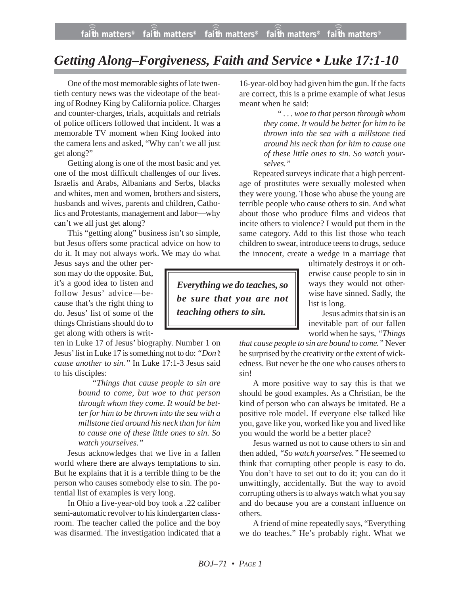## *Getting Along–Forgiveness, Faith and Service • Luke 17:1-10*

One of the most memorable sights of late twentieth century news was the videotape of the beating of Rodney King by California police. Charges and counter-charges, trials, acquittals and retrials of police officers followed that incident. It was a memorable TV moment when King looked into the camera lens and asked, "Why can't we all just get along?"

Getting along is one of the most basic and yet one of the most difficult challenges of our lives. Israelis and Arabs, Albanians and Serbs, blacks and whites, men and women, brothers and sisters, husbands and wives, parents and children, Catholics and Protestants, management and labor—why can't we all just get along?

This "getting along" business isn't so simple, but Jesus offers some practical advice on how to do it. It may not always work. We may do what

Jesus says and the other person may do the opposite. But, it's a good idea to listen and follow Jesus' advice—because that's the right thing to do. Jesus' list of some of the things Christians should do to get along with others is writ-

ten in Luke 17 of Jesus' biography. Number 1 on Jesus' list in Luke 17 is something not to do: *"Don't cause another to sin."* In Luke 17:1-3 Jesus said to his disciples:

> *"Things that cause people to sin are bound to come, but woe to that person through whom they come. It would be better for him to be thrown into the sea with a millstone tied around his neck than for him to cause one of these little ones to sin. So watch yourselves."*

Jesus acknowledges that we live in a fallen world where there are always temptations to sin. But he explains that it is a terrible thing to be the person who causes somebody else to sin. The potential list of examples is very long.

In Ohio a five-year-old boy took a .22 caliber semi-automatic revolver to his kindergarten classroom. The teacher called the police and the boy was disarmed. The investigation indicated that a 16-year-old boy had given him the gun. If the facts are correct, this is a prime example of what Jesus meant when he said:

> *" . . . woe to that person through whom they come. It would be better for him to be thrown into the sea with a millstone tied around his neck than for him to cause one of these little ones to sin. So watch yourselves."*

Repeated surveys indicate that a high percentage of prostitutes were sexually molested when they were young. Those who abuse the young are terrible people who cause others to sin. And what about those who produce films and videos that incite others to violence? I would put them in the same category. Add to this list those who teach children to swear, introduce teens to drugs, seduce the innocent, create a wedge in a marriage that

*Everything we do teaches, so be sure that you are not teaching others to sin.*

ultimately destroys it or otherwise cause people to sin in ways they would not otherwise have sinned. Sadly, the list is long.

Jesus admits that sin is an inevitable part of our fallen world when he says, *"Things*

*that cause people to sin are bound to come."* Never be surprised by the creativity or the extent of wickedness. But never be the one who causes others to sin!

A more positive way to say this is that we should be good examples. As a Christian, be the kind of person who can always be imitated. Be a positive role model. If everyone else talked like you, gave like you, worked like you and lived like you would the world be a better place?

Jesus warned us not to cause others to sin and then added, *"So watch yourselves."* He seemed to think that corrupting other people is easy to do. You don't have to set out to do it; you can do it unwittingly, accidentally. But the way to avoid corrupting others is to always watch what you say and do because you are a constant influence on others.

A friend of mine repeatedly says, "Everything we do teaches." He's probably right. What we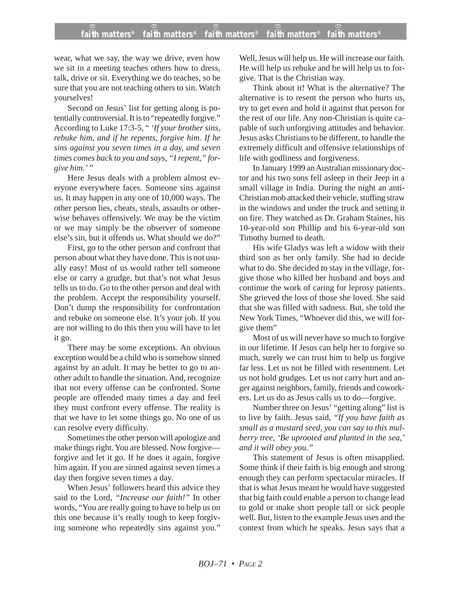## **faith matters® faith matters® faith matters® faith matters® faith matters®** ))) ))) ))) ))) )))

wear, what we say, the way we drive, even how we sit in a meeting teaches others how to dress, talk, drive or sit. Everything we do teaches, so be sure that you are not teaching others to sin. Watch yourselves!

Second on Jesus' list for getting along is potentially controversial. It is to "repeatedly forgive." According to Luke 17:3-5, " *'If your brother sins, rebuke him, and if he repents, forgive him. If he sins against you seven times in a day, and seven times comes back to you and says, "I repent," forgive him.*'"

Here Jesus deals with a problem almost everyone everywhere faces. Someone sins against us. It may happen in any one of 10,000 ways. The other person lies, cheats, steals, assaults or otherwise behaves offensively. We may be the victim or we may simply be the observer of someone else's sin, but it offends us. What should we do?"

First, go to the other person and confront that person about what they have done. This is not usually easy! Most of us would rather tell someone else or carry a grudge, but that's not what Jesus tells us to do. Go to the other person and deal with the problem. Accept the responsibility yourself. Don't dump the responsibility for confrontation and rebuke on someone else. It's your job. If you are not willing to do this then you will have to let it go.

There may be some exceptions. An obvious exception would be a child who is somehow sinned against by an adult. It may be better to go to another adult to handle the situation. And, recognize that not every offense can be confronted. Some people are offended many times a day and feel they must confront every offense. The reality is that we have to let some things go. No one of us can resolve every difficulty.

Sometimes the other person will apologize and make things right. You are blessed. Now forgive forgive and let it go. If he does it again, forgive him again. If you are sinned against seven times a day then forgive seven times a day.

When Jesus' followers heard this advice they said to the Lord, *"Increase our faith!"* In other words, "You are really going to have to help us on this one because it's really tough to keep forgiving someone who repeatedly sins against you."

Well, Jesus will help us. He will increase our faith. He will help us rebuke and he will help us to forgive. That is the Christian way.

Think about it! What is the alternative? The alternative is to resent the person who hurts us, try to get even and hold it against that person for the rest of our life. Any non-Christian is quite capable of such unforgiving attitudes and behavior. Jesus asks Christians to be different, to handle the extremely difficult and offensive relationships of life with godliness and forgiveness.

In January 1999 an Australian missionary doctor and his two sons fell asleep in their Jeep in a small village in India. During the night an anti-Christian mob attacked their vehicle, stuffing straw in the windows and under the truck and setting it on fire. They watched as Dr. Graham Staines, his 10-year-old son Phillip and his 6-year-old son Timothy burned to death.

His wife Gladys was left a widow with their third son as her only family. She had to decide what to do. She decided to stay in the village, forgive those who killed her husband and boys and continue the work of caring for leprosy patients. She grieved the loss of those she loved. She said that she was filled with sadness. But, she told the New York Times, "Whoever did this, we will forgive them"

Most of us will never have so much to forgive in our lifetime. If Jesus can help her to forgive so much, surely we can trust him to help us forgive far less. Let us not be filled with resentment. Let us not hold grudges. Let us not carry hurt and anger against neighbors, family, friends and coworkers. Let us do as Jesus calls us to do—forgive.

Number three on Jesus' "getting along" list is to live by faith. Jesus said, *"If you have faith as small as a mustard seed, you can say to this mulberry tree, 'Be uprooted and planted in the sea,' and it will obey you."*

This statement of Jesus is often misapplied. Some think if their faith is big enough and strong enough they can perform spectacular miracles. If that is what Jesus meant he would have suggested that big faith could enable a person to change lead to gold or make short people tall or sick people well. But, listen to the example Jesus uses and the context from which he speaks. Jesus says that a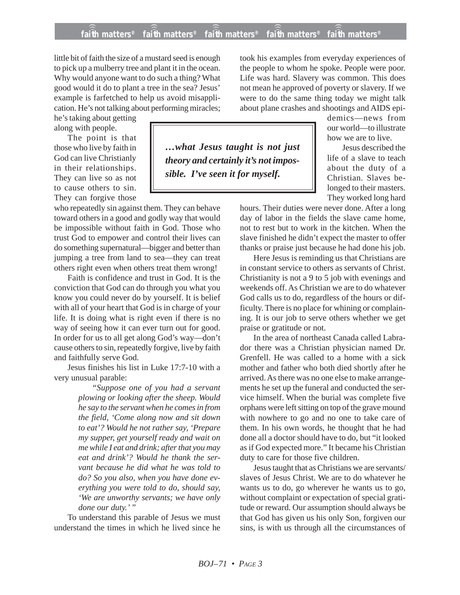## **faith matters® faith matters® faith matters® faith matters® faith matters®** ))) ))) ))) ))) )))

*…what Jesus taught is not just theory and certainly it's not impos-*

*sible. I've seen it for myself.*

little bit of faith the size of a mustard seed is enough to pick up a mulberry tree and plant it in the ocean. Why would anyone want to do such a thing? What good would it do to plant a tree in the sea? Jesus' example is farfetched to help us avoid misapplication. He's not talking about performing miracles;

he's taking about getting along with people.

The point is that those who live by faith in God can live Christianly in their relationships. They can live so as not to cause others to sin. They can forgive those

who repeatedly sin against them. They can behave toward others in a good and godly way that would be impossible without faith in God. Those who trust God to empower and control their lives can do something supernatural—bigger and better than jumping a tree from land to sea—they can treat others right even when others treat them wrong!

Faith is confidence and trust in God. It is the conviction that God can do through you what you know you could never do by yourself. It is belief with all of your heart that God is in charge of your life. It is doing what is right even if there is no way of seeing how it can ever turn out for good. In order for us to all get along God's way—don't cause others to sin, repeatedly forgive, live by faith and faithfully serve God.

Jesus finishes his list in Luke 17:7-10 with a very unusual parable:

> *"Suppose one of you had a servant plowing or looking after the sheep. Would he say to the servant when he comes in from the field, 'Come along now and sit down to eat'? Would he not rather say, 'Prepare my supper, get yourself ready and wait on me while I eat and drink; after that you may eat and drink'? Would he thank the servant because he did what he was told to do? So you also, when you have done everything you were told to do, should say, 'We are unworthy servants; we have only done our duty.' "*

To understand this parable of Jesus we must understand the times in which he lived since he

took his examples from everyday experiences of the people to whom he spoke. People were poor. Life was hard. Slavery was common. This does not mean he approved of poverty or slavery. If we were to do the same thing today we might talk about plane crashes and shootings and AIDS epi-

> demics—news from our world—to illustrate how we are to live.

> Jesus described the life of a slave to teach about the duty of a Christian. Slaves belonged to their masters. They worked long hard

hours. Their duties were never done. After a long day of labor in the fields the slave came home, not to rest but to work in the kitchen. When the slave finished he didn't expect the master to offer thanks or praise just because he had done his job.

Here Jesus is reminding us that Christians are in constant service to others as servants of Christ. Christianity is not a 9 to 5 job with evenings and weekends off. As Christian we are to do whatever God calls us to do, regardless of the hours or difficulty. There is no place for whining or complaining. It is our job to serve others whether we get praise or gratitude or not.

In the area of northeast Canada called Labrador there was a Christian physician named Dr. Grenfell. He was called to a home with a sick mother and father who both died shortly after he arrived. As there was no one else to make arrangements he set up the funeral and conducted the service himself. When the burial was complete five orphans were left sitting on top of the grave mound with nowhere to go and no one to take care of them. In his own words, he thought that he had done all a doctor should have to do, but "it looked as if God expected more." It became his Christian duty to care for those five children.

Jesus taught that as Christians we are servants/ slaves of Jesus Christ. We are to do whatever he wants us to do, go wherever he wants us to go, without complaint or expectation of special gratitude or reward. Our assumption should always be that God has given us his only Son, forgiven our sins, is with us through all the circumstances of